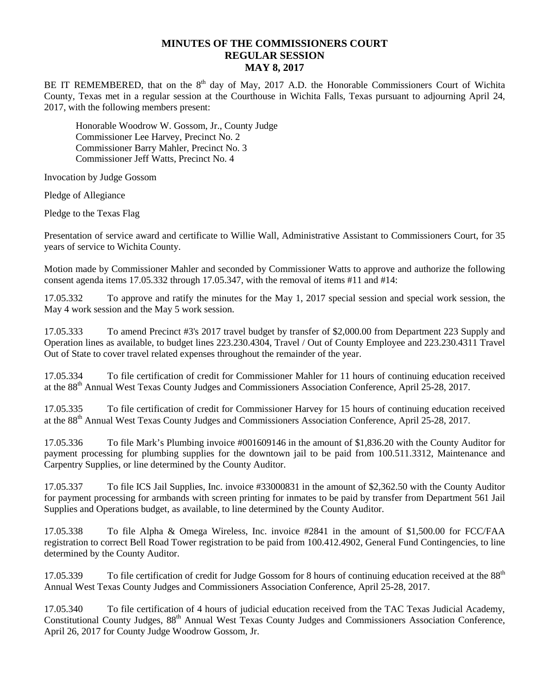## **MINUTES OF THE COMMISSIONERS COURT REGULAR SESSION MAY 8, 2017**

BE IT REMEMBERED, that on the  $8<sup>th</sup>$  day of May, 2017 A.D. the Honorable Commissioners Court of Wichita County, Texas met in a regular session at the Courthouse in Wichita Falls, Texas pursuant to adjourning April 24, 2017, with the following members present:

Honorable Woodrow W. Gossom, Jr., County Judge Commissioner Lee Harvey, Precinct No. 2 Commissioner Barry Mahler, Precinct No. 3 Commissioner Jeff Watts, Precinct No. 4

Invocation by Judge Gossom

Pledge of Allegiance

Pledge to the Texas Flag

Presentation of service award and certificate to Willie Wall, Administrative Assistant to Commissioners Court, for 35 years of service to Wichita County.

Motion made by Commissioner Mahler and seconded by Commissioner Watts to approve and authorize the following consent agenda items 17.05.332 through 17.05.347, with the removal of items #11 and #14:

17.05.332 To approve and ratify the minutes for the May 1, 2017 special session and special work session, the May 4 work session and the May 5 work session.

17.05.333 To amend Precinct #3's 2017 travel budget by transfer of \$2,000.00 from Department 223 Supply and Operation lines as available, to budget lines 223.230.4304, Travel / Out of County Employee and 223.230.4311 Travel Out of State to cover travel related expenses throughout the remainder of the year.

17.05.334 To file certification of credit for Commissioner Mahler for 11 hours of continuing education received at the 88<sup>th</sup> Annual West Texas County Judges and Commissioners Association Conference, April 25-28, 2017.

17.05.335 To file certification of credit for Commissioner Harvey for 15 hours of continuing education received at the 88<sup>th</sup> Annual West Texas County Judges and Commissioners Association Conference, April 25-28, 2017.

17.05.336 To file Mark's Plumbing invoice #001609146 in the amount of \$1,836.20 with the County Auditor for payment processing for plumbing supplies for the downtown jail to be paid from 100.511.3312, Maintenance and Carpentry Supplies, or line determined by the County Auditor.

17.05.337 To file ICS Jail Supplies, Inc. invoice #33000831 in the amount of \$2,362.50 with the County Auditor for payment processing for armbands with screen printing for inmates to be paid by transfer from Department 561 Jail Supplies and Operations budget, as available, to line determined by the County Auditor.

17.05.338 To file Alpha & Omega Wireless, Inc. invoice #2841 in the amount of \$1,500.00 for FCC/FAA registration to correct Bell Road Tower registration to be paid from 100.412.4902, General Fund Contingencies, to line determined by the County Auditor.

17.05.339 To file certification of credit for Judge Gossom for 8 hours of continuing education received at the 88<sup>th</sup> Annual West Texas County Judges and Commissioners Association Conference, April 25-28, 2017.

17.05.340 To file certification of 4 hours of judicial education received from the TAC Texas Judicial Academy, Constitutional County Judges,  $88<sup>th</sup>$  Annual West Texas County Judges and Commissioners Association Conference, April 26, 2017 for County Judge Woodrow Gossom, Jr.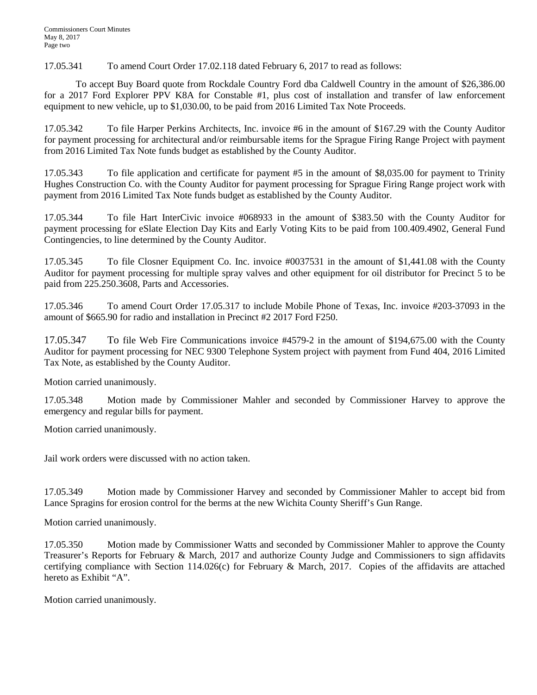17.05.341 To amend Court Order 17.02.118 dated February 6, 2017 to read as follows:

To accept Buy Board quote from Rockdale Country Ford dba Caldwell Country in the amount of \$26,386.00 for a 2017 Ford Explorer PPV K8A for Constable #1, plus cost of installation and transfer of law enforcement equipment to new vehicle, up to \$1,030.00, to be paid from 2016 Limited Tax Note Proceeds.

17.05.342 To file Harper Perkins Architects, Inc. invoice #6 in the amount of \$167.29 with the County Auditor for payment processing for architectural and/or reimbursable items for the Sprague Firing Range Project with payment from 2016 Limited Tax Note funds budget as established by the County Auditor.

17.05.343 To file application and certificate for payment #5 in the amount of \$8,035.00 for payment to Trinity Hughes Construction Co. with the County Auditor for payment processing for Sprague Firing Range project work with payment from 2016 Limited Tax Note funds budget as established by the County Auditor.

17.05.344 To file Hart InterCivic invoice #068933 in the amount of \$383.50 with the County Auditor for payment processing for eSlate Election Day Kits and Early Voting Kits to be paid from 100.409.4902, General Fund Contingencies, to line determined by the County Auditor.

17.05.345 To file Closner Equipment Co. Inc. invoice #0037531 in the amount of \$1,441.08 with the County Auditor for payment processing for multiple spray valves and other equipment for oil distributor for Precinct 5 to be paid from 225.250.3608, Parts and Accessories.

17.05.346 To amend Court Order 17.05.317 to include Mobile Phone of Texas, Inc. invoice #203-37093 in the amount of \$665.90 for radio and installation in Precinct #2 2017 Ford F250.

17.05.347 To file Web Fire Communications invoice #4579-2 in the amount of \$194,675.00 with the County Auditor for payment processing for NEC 9300 Telephone System project with payment from Fund 404, 2016 Limited Tax Note, as established by the County Auditor.

Motion carried unanimously.

17.05.348 Motion made by Commissioner Mahler and seconded by Commissioner Harvey to approve the emergency and regular bills for payment.

Motion carried unanimously.

Jail work orders were discussed with no action taken.

17.05.349 Motion made by Commissioner Harvey and seconded by Commissioner Mahler to accept bid from Lance Spragins for erosion control for the berms at the new Wichita County Sheriff's Gun Range.

Motion carried unanimously.

17.05.350 Motion made by Commissioner Watts and seconded by Commissioner Mahler to approve the County Treasurer's Reports for February & March, 2017 and authorize County Judge and Commissioners to sign affidavits certifying compliance with Section 114.026(c) for February & March, 2017. Copies of the affidavits are attached hereto as Exhibit "A".

Motion carried unanimously.